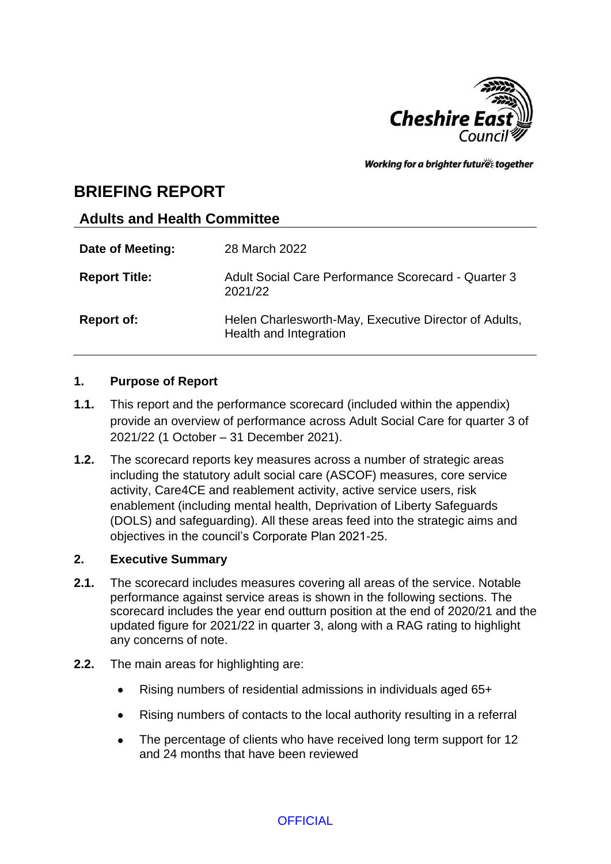

Working for a brighter futures together

# **BRIEFING REPORT**

## **Adults and Health Committee**

| Date of Meeting:     | 28 March 2022                                                                   |
|----------------------|---------------------------------------------------------------------------------|
| <b>Report Title:</b> | Adult Social Care Performance Scorecard - Quarter 3<br>2021/22                  |
| <b>Report of:</b>    | Helen Charlesworth-May, Executive Director of Adults,<br>Health and Integration |

## **1. Purpose of Report**

- **1.1.** This report and the performance scorecard (included within the appendix) provide an overview of performance across Adult Social Care for quarter 3 of 2021/22 (1 October – 31 December 2021).
- **1.2.** The scorecard reports key measures across a number of strategic areas including the statutory adult social care (ASCOF) measures, core service activity, Care4CE and reablement activity, active service users, risk enablement (including mental health, Deprivation of Liberty Safeguards (DOLS) and safeguarding). All these areas feed into the strategic aims and objectives in the council's Corporate Plan 2021-25.

### **2. Executive Summary**

- **2.1.** The scorecard includes measures covering all areas of the service. Notable performance against service areas is shown in the following sections. The scorecard includes the year end outturn position at the end of 2020/21 and the updated figure for 2021/22 in quarter 3, along with a RAG rating to highlight any concerns of note.
- **2.2.** The main areas for highlighting are:
	- Rising numbers of residential admissions in individuals aged 65+
	- Rising numbers of contacts to the local authority resulting in a referral
	- The percentage of clients who have received long term support for 12 and 24 months that have been reviewed

**OFFICIAL**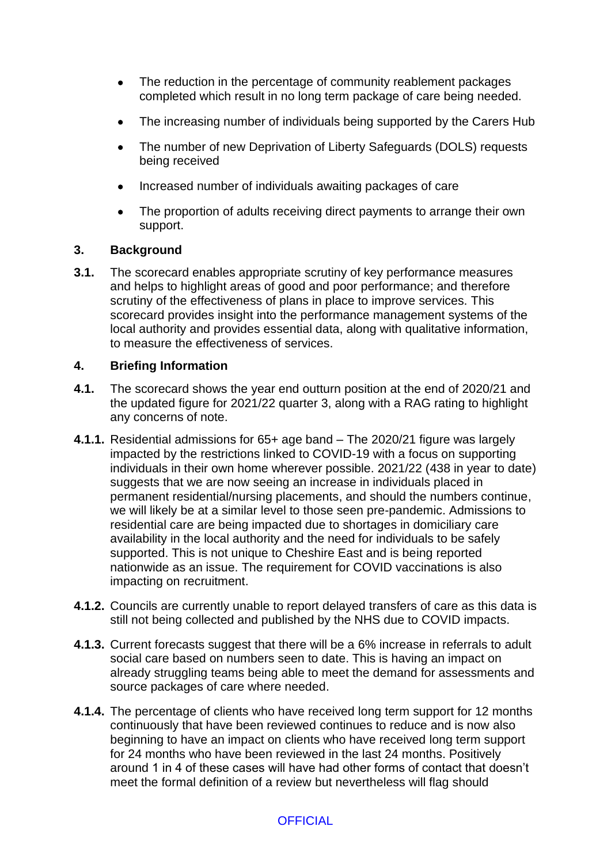- The reduction in the percentage of community reablement packages completed which result in no long term package of care being needed.
- The increasing number of individuals being supported by the Carers Hub
- The number of new Deprivation of Liberty Safeguards (DOLS) requests being received
- Increased number of individuals awaiting packages of care
- The proportion of adults receiving direct payments to arrange their own support.

#### **3. Background**

**3.1.** The scorecard enables appropriate scrutiny of key performance measures and helps to highlight areas of good and poor performance; and therefore scrutiny of the effectiveness of plans in place to improve services. This scorecard provides insight into the performance management systems of the local authority and provides essential data, along with qualitative information, to measure the effectiveness of services.

#### **4. Briefing Information**

- **4.1.** The scorecard shows the year end outturn position at the end of 2020/21 and the updated figure for 2021/22 quarter 3, along with a RAG rating to highlight any concerns of note.
- **4.1.1.** Residential admissions for 65+ age band The 2020/21 figure was largely impacted by the restrictions linked to COVID-19 with a focus on supporting individuals in their own home wherever possible. 2021/22 (438 in year to date) suggests that we are now seeing an increase in individuals placed in permanent residential/nursing placements, and should the numbers continue, we will likely be at a similar level to those seen pre-pandemic. Admissions to residential care are being impacted due to shortages in domiciliary care availability in the local authority and the need for individuals to be safely supported. This is not unique to Cheshire East and is being reported nationwide as an issue. The requirement for COVID vaccinations is also impacting on recruitment.
- **4.1.2.** Councils are currently unable to report delayed transfers of care as this data is still not being collected and published by the NHS due to COVID impacts.
- **4.1.3.** Current forecasts suggest that there will be a 6% increase in referrals to adult social care based on numbers seen to date. This is having an impact on already struggling teams being able to meet the demand for assessments and source packages of care where needed.
- **4.1.4.** The percentage of clients who have received long term support for 12 months continuously that have been reviewed continues to reduce and is now also beginning to have an impact on clients who have received long term support for 24 months who have been reviewed in the last 24 months. Positively around 1 in 4 of these cases will have had other forms of contact that doesn't meet the formal definition of a review but nevertheless will flag should

## **OFFICIAL**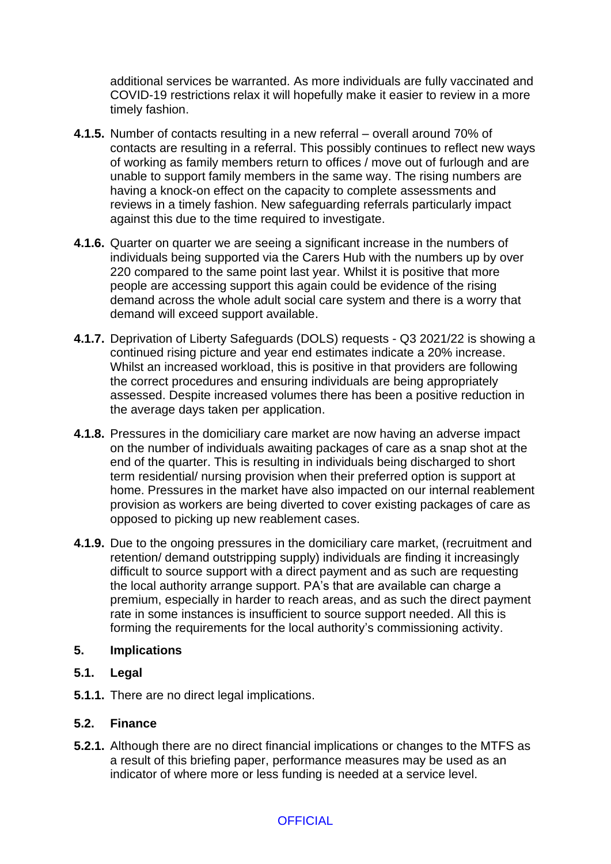additional services be warranted. As more individuals are fully vaccinated and COVID-19 restrictions relax it will hopefully make it easier to review in a more timely fashion.

- **4.1.5.** Number of contacts resulting in a new referral overall around 70% of contacts are resulting in a referral. This possibly continues to reflect new ways of working as family members return to offices / move out of furlough and are unable to support family members in the same way. The rising numbers are having a knock-on effect on the capacity to complete assessments and reviews in a timely fashion. New safeguarding referrals particularly impact against this due to the time required to investigate.
- **4.1.6.** Quarter on quarter we are seeing a significant increase in the numbers of individuals being supported via the Carers Hub with the numbers up by over 220 compared to the same point last year. Whilst it is positive that more people are accessing support this again could be evidence of the rising demand across the whole adult social care system and there is a worry that demand will exceed support available.
- **4.1.7.** Deprivation of Liberty Safeguards (DOLS) requests Q3 2021/22 is showing a continued rising picture and year end estimates indicate a 20% increase. Whilst an increased workload, this is positive in that providers are following the correct procedures and ensuring individuals are being appropriately assessed. Despite increased volumes there has been a positive reduction in the average days taken per application.
- **4.1.8.** Pressures in the domiciliary care market are now having an adverse impact on the number of individuals awaiting packages of care as a snap shot at the end of the quarter. This is resulting in individuals being discharged to short term residential/ nursing provision when their preferred option is support at home. Pressures in the market have also impacted on our internal reablement provision as workers are being diverted to cover existing packages of care as opposed to picking up new reablement cases.
- **4.1.9.** Due to the ongoing pressures in the domiciliary care market, (recruitment and retention/ demand outstripping supply) individuals are finding it increasingly difficult to source support with a direct payment and as such are requesting the local authority arrange support. PA's that are available can charge a premium, especially in harder to reach areas, and as such the direct payment rate in some instances is insufficient to source support needed. All this is forming the requirements for the local authority's commissioning activity.

#### **5. Implications**

- **5.1. Legal**
- **5.1.1.** There are no direct legal implications.

#### **5.2. Finance**

**5.2.1.** Although there are no direct financial implications or changes to the MTFS as a result of this briefing paper, performance measures may be used as an indicator of where more or less funding is needed at a service level.

## **OFFICIAL**